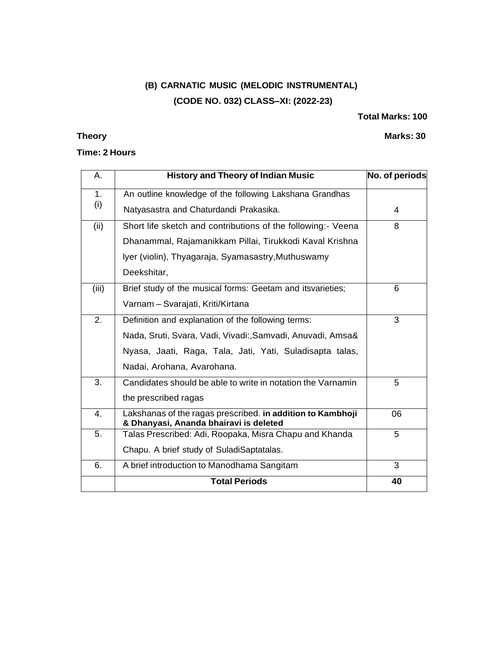# **(B) CARNATIC MUSIC (MELODIC INSTRUMENTAL) (CODE NO. 032) CLASS–XI: (2022-23)**

### **Total Marks: 100**

## **Theory Marks: 30**

### **Time: 2 Hours**

| A.    | <b>History and Theory of Indian Music</b>                                                            | No. of periods |
|-------|------------------------------------------------------------------------------------------------------|----------------|
| 1.    | An outline knowledge of the following Lakshana Grandhas                                              |                |
| (i)   | Natyasastra and Chaturdandi Prakasika.                                                               | 4              |
| (ii)  | Short life sketch and contributions of the following:- Veena                                         | 8              |
|       | Dhanammal, Rajamanikkam Pillai, Tirukkodi Kaval Krishna                                              |                |
|       | Iyer (violin), Thyagaraja, Syamasastry, Muthuswamy                                                   |                |
|       | Deekshitar,                                                                                          |                |
| (iii) | Brief study of the musical forms: Geetam and itsvarieties;                                           | 6              |
|       | Varnam - Svarajati, Kriti/Kirtana                                                                    |                |
| 2.    | Definition and explanation of the following terms:                                                   | 3              |
|       | Nada, Sruti, Svara, Vadi, Vivadi:, Samvadi, Anuvadi, Amsa&                                           |                |
|       | Nyasa, Jaati, Raga, Tala, Jati, Yati, Suladisapta talas,                                             |                |
|       | Nadai, Arohana, Avarohana.                                                                           |                |
| 3.    | Candidates should be able to write in notation the Varnamin                                          | 5              |
|       | the prescribed ragas                                                                                 |                |
| 4.    | Lakshanas of the ragas prescribed. in addition to Kambhoji<br>& Dhanyasi, Ananda bhairavi is deleted | 06             |
| 5.    | Talas Prescribed: Adi, Roopaka, Misra Chapu and Khanda                                               | 5              |
|       | Chapu. A brief study of SuladiSaptatalas.                                                            |                |
| 6.    | A brief introduction to Manodhama Sangitam                                                           | 3              |
|       | <b>Total Periods</b>                                                                                 | 40             |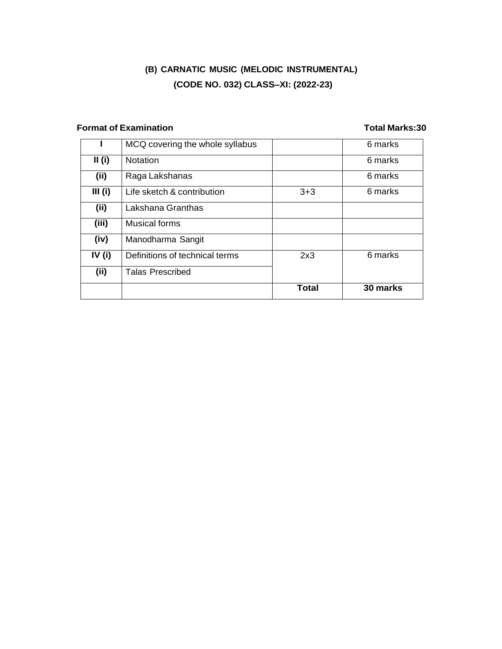# **(B) CARNATIC MUSIC (MELODIC INSTRUMENTAL) (CODE NO. 032) CLASS–XI: (2022-23)**

## **Format of Examination Total Marks:30**

|          | MCQ covering the whole syllabus |              | 6 marks  |
|----------|---------------------------------|--------------|----------|
| II(i)    | <b>Notation</b>                 |              | 6 marks  |
| (ii)     | Raga Lakshanas                  |              | 6 marks  |
| III(i)   | Life sketch & contribution      | $3+3$        | 6 marks  |
| (ii)     | Lakshana Granthas               |              |          |
| (iii)    | <b>Musical forms</b>            |              |          |
| (iv)     | Manodharma Sangit               |              |          |
| IV $(i)$ | Definitions of technical terms  | 2x3          | 6 marks  |
| (ii)     | <b>Talas Prescribed</b>         |              |          |
|          |                                 | <b>Total</b> | 30 marks |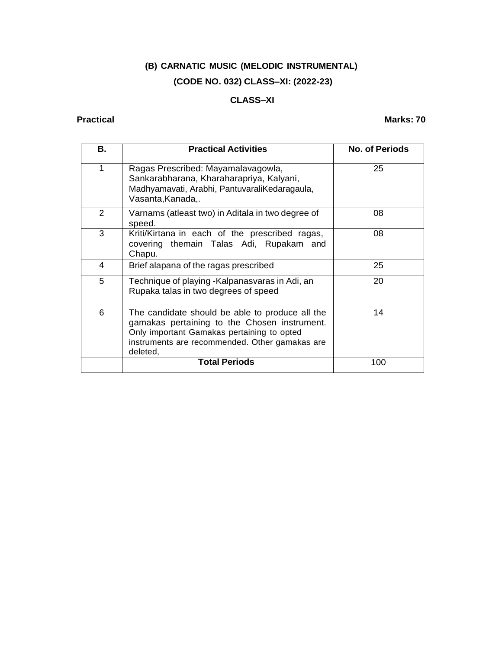# **(B) CARNATIC MUSIC (MELODIC INSTRUMENTAL) (CODE NO. 032) CLASS–XI: (2022-23)**

## **CLASS–XI**

### **Practical Marks: 70**

| В. | <b>Practical Activities</b>                                                                                                                                                                                 | <b>No. of Periods</b> |
|----|-------------------------------------------------------------------------------------------------------------------------------------------------------------------------------------------------------------|-----------------------|
| 1  | Ragas Prescribed: Mayamalavagowla,<br>Sankarabharana, Kharaharapriya, Kalyani,<br>Madhyamavati, Arabhi, PantuvaraliKedaragaula,<br>Vasanta, Kanada,.                                                        | 25                    |
| 2  | Varnams (atleast two) in Aditala in two degree of<br>speed.                                                                                                                                                 | 08                    |
| 3  | Kriti/Kirtana in each of the prescribed ragas,<br>covering themain Talas Adi, Rupakam and<br>Chapu.                                                                                                         | 08                    |
| 4  | Brief alapana of the ragas prescribed                                                                                                                                                                       | 25                    |
| 5  | Technique of playing -Kalpanasvaras in Adi, an<br>Rupaka talas in two degrees of speed                                                                                                                      | 20                    |
| 6  | The candidate should be able to produce all the<br>gamakas pertaining to the Chosen instrument.<br>Only important Gamakas pertaining to opted<br>instruments are recommended. Other gamakas are<br>deleted, | 14                    |
|    | <b>Total Periods</b>                                                                                                                                                                                        | 100                   |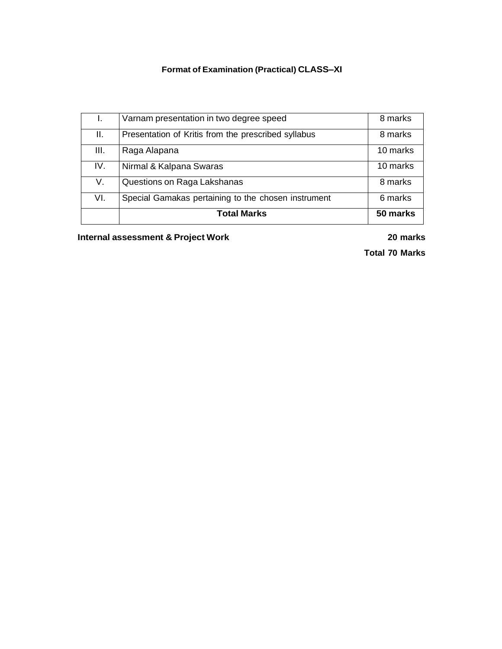# **Format of Examination (Practical) CLASS–XI**

|      | Varnam presentation in two degree speed             | 8 marks  |
|------|-----------------------------------------------------|----------|
| Ш.   | Presentation of Kritis from the prescribed syllabus | 8 marks  |
| III. | Raga Alapana                                        | 10 marks |
| IV.  | Nirmal & Kalpana Swaras                             | 10 marks |
| V.   | Questions on Raga Lakshanas                         | 8 marks  |
| VI.  | Special Gamakas pertaining to the chosen instrument | 6 marks  |
|      | <b>Total Marks</b>                                  | 50 marks |

**Internal assessment & Project Work 20 marks**

**Total 70 Marks**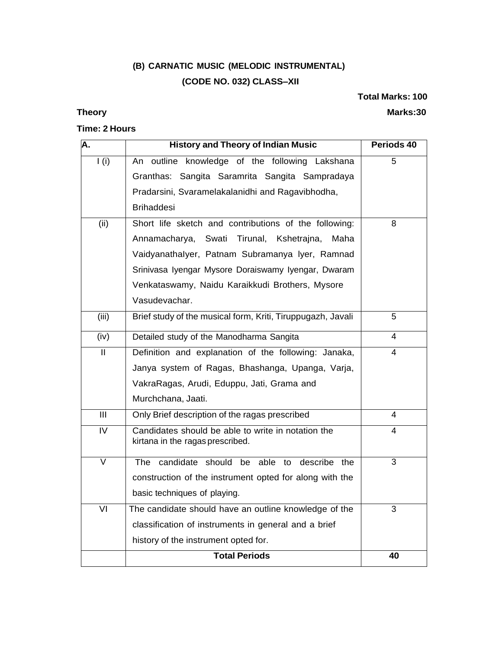# **(B) CARNATIC MUSIC (MELODIC INSTRUMENTAL) (CODE NO. 032) CLASS–XII**

**Total Marks: 100**

**Theory Marks:30** 

## **Time: 2 Hours**

| А.                        | <b>History and Theory of Indian Music</b>                                              | Periods 40     |
|---------------------------|----------------------------------------------------------------------------------------|----------------|
| I(i)                      | An outline knowledge of the following Lakshana                                         | 5              |
|                           | Granthas: Sangita Saramrita Sangita Sampradaya                                         |                |
|                           | Pradarsini, Svaramelakalanidhi and Ragavibhodha,                                       |                |
|                           | <b>Brihaddesi</b>                                                                      |                |
| (ii)                      | Short life sketch and contributions of the following:                                  | 8              |
|                           | Annamacharya, Swati Tirunal, Kshetrajna,<br>Maha                                       |                |
|                           | Vaidyanathalyer, Patnam Subramanya Iyer, Ramnad                                        |                |
|                           | Srinivasa Iyengar Mysore Doraiswamy Iyengar, Dwaram                                    |                |
|                           | Venkataswamy, Naidu Karaikkudi Brothers, Mysore                                        |                |
|                           | Vasudevachar.                                                                          |                |
| (iii)                     | Brief study of the musical form, Kriti, Tiruppugazh, Javali                            | 5              |
| (iv)                      | Detailed study of the Manodharma Sangita                                               | 4              |
| $\mathbf{I}$              | Definition and explanation of the following: Janaka,                                   | 4              |
|                           | Janya system of Ragas, Bhashanga, Upanga, Varja,                                       |                |
|                           | VakraRagas, Arudi, Eduppu, Jati, Grama and                                             |                |
|                           | Murchchana, Jaati.                                                                     |                |
| $\overline{\mathsf{III}}$ | Only Brief description of the ragas prescribed                                         | $\overline{4}$ |
| $\overline{\text{IV}}$    | Candidates should be able to write in notation the<br>kirtana in the ragas prescribed. | 4              |
| $\overline{\mathsf{V}}$   | candidate should be able to<br>describe the<br>The                                     | $\overline{3}$ |
|                           | construction of the instrument opted for along with the                                |                |
|                           | basic techniques of playing.                                                           |                |
| VI                        | The candidate should have an outline knowledge of the                                  | 3              |
|                           | classification of instruments in general and a brief                                   |                |
|                           | history of the instrument opted for.                                                   |                |
|                           | <b>Total Periods</b>                                                                   | 40             |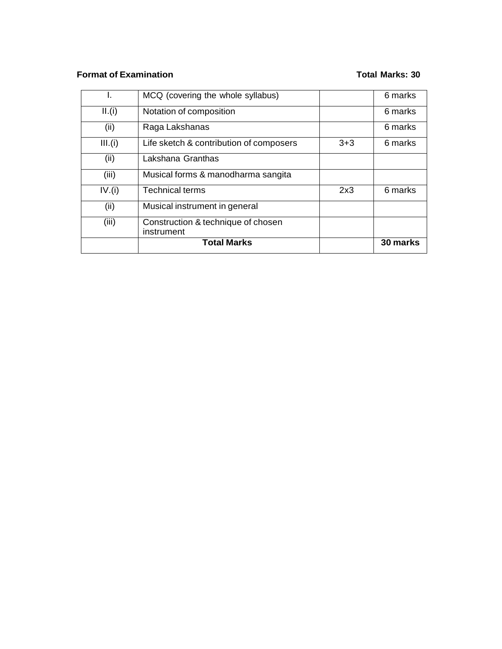## **Format of Examination Total Marks: 30**

|         | MCQ (covering the whole syllabus)                |         | 6 marks  |
|---------|--------------------------------------------------|---------|----------|
| II.(i)  | Notation of composition                          |         | 6 marks  |
| (ii)    | Raga Lakshanas                                   |         | 6 marks  |
| III.(i) | Life sketch & contribution of composers          | $3 + 3$ | 6 marks  |
| (ii)    | Lakshana Granthas                                |         |          |
| (iii)   | Musical forms & manodharma sangita               |         |          |
| IV.(i)  | <b>Technical terms</b>                           | 2x3     | 6 marks  |
| (ii)    | Musical instrument in general                    |         |          |
| (iii)   | Construction & technique of chosen<br>instrument |         |          |
|         | <b>Total Marks</b>                               |         | 30 marks |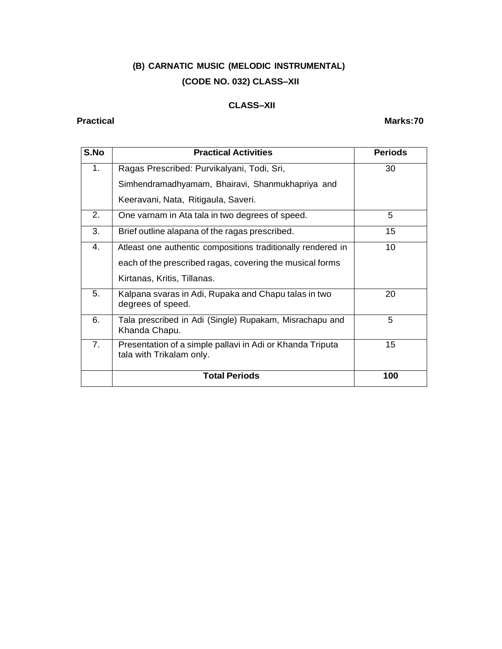# **(B) CARNATIC MUSIC (MELODIC INSTRUMENTAL) (CODE NO. 032) CLASS–XII**

## **CLASS–XII**

## **Practical Marks:70**

| S.No | <b>Practical Activities</b>                                                           | <b>Periods</b> |
|------|---------------------------------------------------------------------------------------|----------------|
| 1.   | Ragas Prescribed: Purvikalyani, Todi, Sri,                                            | 30             |
|      | Simhendramadhyamam, Bhairavi, Shanmukhapriya and                                      |                |
|      | Keeravani, Nata, Ritigaula, Saveri.                                                   |                |
| 2.   | One varnam in Ata tala in two degrees of speed.                                       | 5              |
| 3.   | Brief outline alapana of the ragas prescribed.                                        | 15             |
| 4.   | Atleast one authentic compositions traditionally rendered in                          | 10             |
|      | each of the prescribed ragas, covering the musical forms                              |                |
|      | Kirtanas, Kritis, Tillanas.                                                           |                |
| 5.   | Kalpana svaras in Adi, Rupaka and Chapu talas in two<br>degrees of speed.             | 20             |
| 6.   | Tala prescribed in Adi (Single) Rupakam, Misrachapu and<br>Khanda Chapu.              | 5              |
| 7.   | Presentation of a simple pallavi in Adi or Khanda Triputa<br>tala with Trikalam only. | 15             |
|      | <b>Total Periods</b>                                                                  | 100            |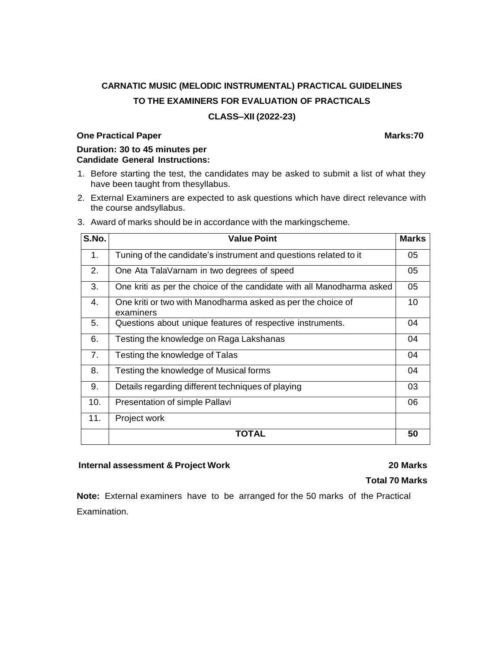# **CARNATIC MUSIC (MELODIC INSTRUMENTAL) PRACTICAL GUIDELINES TO THE EXAMINERS FOR EVALUATION OF PRACTICALS**

### **CLASS–XII (2022-23)**

### **One Practical Paper Marks:70**

**Duration: 30 to 45 minutes per Candidate General Instructions:**

- 1. Before starting the test, the candidates may be asked to submit a list of what they have been taught from thesyllabus.
- 2. External Examiners are expected to ask questions which have direct relevance with the course andsyllabus.

| S.No. | <b>Value Point</b>                                                       | <b>Marks</b> |
|-------|--------------------------------------------------------------------------|--------------|
| 1.    | Tuning of the candidate's instrument and questions related to it         | 05           |
| 2.    | One Ata TalaVarnam in two degrees of speed                               | 05           |
| 3.    | One kriti as per the choice of the candidate with all Manodharma asked   | 05           |
| 4.    | One kriti or two with Manodharma asked as per the choice of<br>examiners | 10           |
| 5.    | Questions about unique features of respective instruments.               | 04           |
| 6.    | Testing the knowledge on Raga Lakshanas                                  | 04           |
| 7.    | Testing the knowledge of Talas                                           | 04           |
| 8.    | Testing the knowledge of Musical forms                                   | 04           |
| 9.    | Details regarding different techniques of playing                        | 03           |
| 10.   | Presentation of simple Pallavi                                           | 06           |
| 11.   | Project work                                                             |              |
|       | TOTAL                                                                    | 50           |

3. Award of marks should be in accordance with the markingscheme.

### **Internal assessment & Project Work 20 Marks**

### **Total 70 Marks**

**Note:** External examiners have to be arranged for the 50 marks of the Practical Examination.